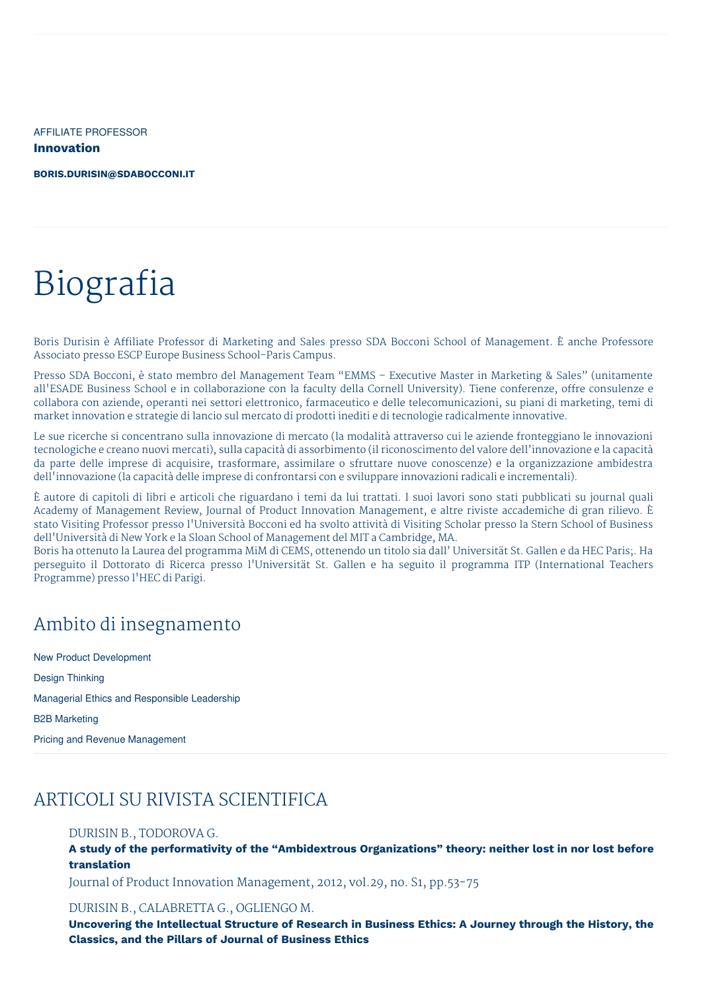AFFILIATE PROFESSOR **Innovation**

**[BORIS.DURISIN@SDABOCCONI.IT](mailto:boris.durisin@sdabocconi.it)**

# Biografia

Boris Durisin è Affiliate Professor di Marketing and Sales presso SDA Bocconi School of Management. È anche Professore Associato presso ESCP Europe Business School-Paris Campus.

Presso SDA Bocconi, è stato membro del Management Team "EMMS – Executive Master in Marketing & Sales" (unitamente all'ESADE Business School e in collaborazione con la faculty della Cornell University). Tiene conferenze, offre consulenze e collabora con aziende, operanti nei settori elettronico, farmaceutico e delle telecomunicazioni, su piani di marketing, temi di market innovation e strategie di lancio sul mercato di prodotti inediti e di tecnologie radicalmente innovative.

Le sue ricerche si concentrano sulla innovazione di mercato (la modalità attraverso cui le aziende fronteggiano le innovazioni tecnologiche e creano nuovi mercati), sulla capacità di assorbimento (il riconoscimento del valore dell'innovazione e la capacità da parte delle imprese di acquisire, trasformare, assimilare o sfruttare nuove conoscenze) e la organizzazione ambidestra dell'innovazione (la capacità delle imprese di confrontarsi con e sviluppare innovazioni radicali e incrementali).

È autore di capitoli di libri e articoli che riguardano i temi da lui trattati. I suoi lavori sono stati pubblicati su journal quali Academy of Management Review, Journal of Product Innovation Management, e altre riviste accademiche di gran rilievo. È stato Visiting Professor presso l'Università Bocconi ed ha svolto attività di Visiting Scholar presso la Stern School of Business dell'Università di New York e la Sloan School of Management del MIT a Cambridge, MA.

Boris ha ottenuto la Laurea del programma MiM di CEMS, ottenendo un titolo sia dall' Universität St. Gallen e da HEC Paris;. Ha perseguito il Dottorato di Ricerca presso l'Universität St. Gallen e ha seguito il programma ITP (International Teachers Programme) presso l'HEC di Parigi.

### Ambito di insegnamento

New Product Development Design Thinking Managerial Ethics and Responsible Leadership B2B Marketing Pricing and Revenue Management

## ARTICOLI SU RIVISTA SCIENTIFICA

#### DURISIN B., TODOROVA G.

**A study of the performativity of the "Ambidextrous Organizations" theory: neither lost in nor lost before translation**

Journal of Product Innovation Management, 2012, vol.29, no. S1, pp.53-75

#### DURISIN B., CALABRETTA G., OGLIENGO M.

**Uncovering the Intellectual Structure of Research in Business Ethics: A Journey through the History, the Classics, and the Pillars of Journal of Business Ethics**